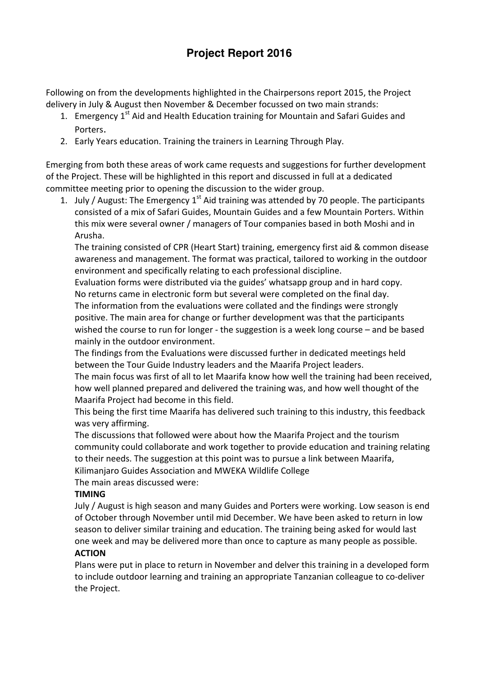# **Project Report 2016**

Following on from the developments highlighted in the Chairpersons report 2015, the Project delivery in July & August then November & December focussed on two main strands:

- 1. Emergency  $1<sup>st</sup>$  Aid and Health Education training for Mountain and Safari Guides and Porters.
- 2. Early Years education. Training the trainers in Learning Through Play.

Emerging from both these areas of work came requests and suggestions for further development of the Project. These will be highlighted in this report and discussed in full at a dedicated committee meeting prior to opening the discussion to the wider group.

1. July / August: The Emergency  $1<sup>st</sup>$  Aid training was attended by 70 people. The participants consisted of a mix of Safari Guides, Mountain Guides and a few Mountain Porters. Within this mix were several owner / managers of Tour companies based in both Moshi and in Arusha.

The training consisted of CPR (Heart Start) training, emergency first aid & common disease awareness and management. The format was practical, tailored to working in the outdoor environment and specifically relating to each professional discipline.

Evaluation forms were distributed via the guides' whatsapp group and in hard copy. No returns came in electronic form but several were completed on the final day.

The information from the evaluations were collated and the findings were strongly positive. The main area for change or further development was that the participants wished the course to run for longer - the suggestion is a week long course – and be based mainly in the outdoor environment. 

The findings from the Evaluations were discussed further in dedicated meetings held between the Tour Guide Industry leaders and the Maarifa Project leaders.

The main focus was first of all to let Maarifa know how well the training had been received, how well planned prepared and delivered the training was, and how well thought of the Maarifa Project had become in this field.

This being the first time Maarifa has delivered such training to this industry, this feedback was very affirming. 

The discussions that followed were about how the Maarifa Project and the tourism community could collaborate and work together to provide education and training relating to their needs. The suggestion at this point was to pursue a link between Maarifa, Kilimanjaro Guides Association and MWEKA Wildlife College

The main areas discussed were:

## **TIMING**

July / August is high season and many Guides and Porters were working. Low season is end of October through November until mid December. We have been asked to return in low season to deliver similar training and education. The training being asked for would last one week and may be delivered more than once to capture as many people as possible.

#### **ACTION**

Plans were put in place to return in November and delver this training in a developed form to include outdoor learning and training an appropriate Tanzanian colleague to co-deliver the Project.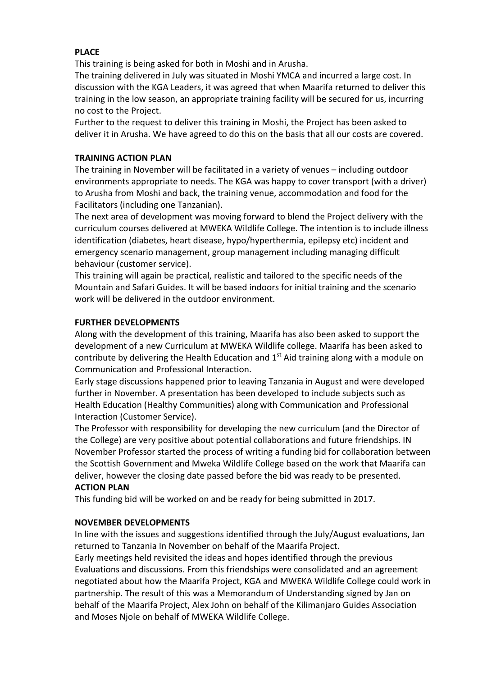## **PLACE**

This training is being asked for both in Moshi and in Arusha.

The training delivered in July was situated in Moshi YMCA and incurred a large cost. In discussion with the KGA Leaders, it was agreed that when Maarifa returned to deliver this training in the low season, an appropriate training facility will be secured for us, incurring no cost to the Project. 

Further to the request to deliver this training in Moshi, the Project has been asked to deliver it in Arusha. We have agreed to do this on the basis that all our costs are covered.

#### **TRAINING ACTION PLAN**

The training in November will be facilitated in a variety of venues – including outdoor environments appropriate to needs. The KGA was happy to cover transport (with a driver) to Arusha from Moshi and back, the training venue, accommodation and food for the Facilitators (including one Tanzanian).

The next area of development was moving forward to blend the Project delivery with the curriculum courses delivered at MWEKA Wildlife College. The intention is to include illness identification (diabetes, heart disease, hypo/hyperthermia, epilepsy etc) incident and emergency scenario management, group management including managing difficult behaviour (customer service).

This training will again be practical, realistic and tailored to the specific needs of the Mountain and Safari Guides. It will be based indoors for initial training and the scenario work will be delivered in the outdoor environment.

#### **FURTHER DEVELOPMENTS**

Along with the development of this training, Maarifa has also been asked to support the development of a new Curriculum at MWEKA Wildlife college. Maarifa has been asked to contribute by delivering the Health Education and  $1<sup>st</sup>$  Aid training along with a module on Communication and Professional Interaction.

Early stage discussions happened prior to leaving Tanzania in August and were developed further in November. A presentation has been developed to include subjects such as Health Education (Healthy Communities) along with Communication and Professional Interaction (Customer Service).

The Professor with responsibility for developing the new curriculum (and the Director of the College) are very positive about potential collaborations and future friendships. IN November Professor started the process of writing a funding bid for collaboration between the Scottish Government and Mweka Wildlife College based on the work that Maarifa can deliver, however the closing date passed before the bid was ready to be presented. **ACTION PLAN**

This funding bid will be worked on and be ready for being submitted in 2017.

#### **NOVEMBER DEVELOPMENTS**

In line with the issues and suggestions identified through the July/August evaluations, Jan returned to Tanzania In November on behalf of the Maarifa Project.

Early meetings held revisited the ideas and hopes identified through the previous Evaluations and discussions. From this friendships were consolidated and an agreement negotiated about how the Maarifa Project, KGA and MWEKA Wildlife College could work in partnership. The result of this was a Memorandum of Understanding signed by Jan on behalf of the Maarifa Project, Alex John on behalf of the Kilimanjaro Guides Association and Moses Njole on behalf of MWEKA Wildlife College.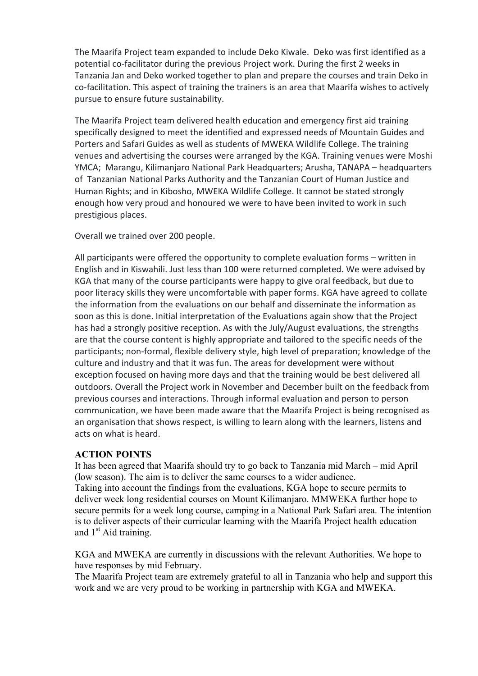The Maarifa Project team expanded to include Deko Kiwale. Deko was first identified as a potential co-facilitator during the previous Project work. During the first 2 weeks in Tanzania Jan and Deko worked together to plan and prepare the courses and train Deko in co-facilitation. This aspect of training the trainers is an area that Maarifa wishes to actively pursue to ensure future sustainability.

The Maarifa Project team delivered health education and emergency first aid training specifically designed to meet the identified and expressed needs of Mountain Guides and Porters and Safari Guides as well as students of MWEKA Wildlife College. The training venues and advertising the courses were arranged by the KGA. Training venues were Moshi YMCA; Marangu, Kilimanjaro National Park Headquarters; Arusha, TANAPA - headquarters of Tanzanian National Parks Authority and the Tanzanian Court of Human Justice and Human Rights; and in Kibosho, MWEKA Wildlife College. It cannot be stated strongly enough how very proud and honoured we were to have been invited to work in such prestigious places.

Overall we trained over 200 people.

All participants were offered the opportunity to complete evaluation forms – written in English and in Kiswahili. Just less than 100 were returned completed. We were advised by KGA that many of the course participants were happy to give oral feedback, but due to poor literacy skills they were uncomfortable with paper forms. KGA have agreed to collate the information from the evaluations on our behalf and disseminate the information as soon as this is done. Initial interpretation of the Evaluations again show that the Project has had a strongly positive reception. As with the July/August evaluations, the strengths are that the course content is highly appropriate and tailored to the specific needs of the participants; non-formal, flexible delivery style, high level of preparation; knowledge of the culture and industry and that it was fun. The areas for development were without exception focused on having more days and that the training would be best delivered all outdoors. Overall the Project work in November and December built on the feedback from previous courses and interactions. Through informal evaluation and person to person communication, we have been made aware that the Maarifa Project is being recognised as an organisation that shows respect, is willing to learn along with the learners, listens and acts on what is heard.

#### **ACTION POINTS**

It has been agreed that Maarifa should try to go back to Tanzania mid March – mid April (low season). The aim is to deliver the same courses to a wider audience. Taking into account the findings from the evaluations, KGA hope to secure permits to deliver week long residential courses on Mount Kilimanjaro. MMWEKA further hope to secure permits for a week long course, camping in a National Park Safari area. The intention is to deliver aspects of their curricular learning with the Maarifa Project health education and  $1<sup>st</sup>$  Aid training.

KGA and MWEKA are currently in discussions with the relevant Authorities. We hope to have responses by mid February.

The Maarifa Project team are extremely grateful to all in Tanzania who help and support this work and we are very proud to be working in partnership with KGA and MWEKA.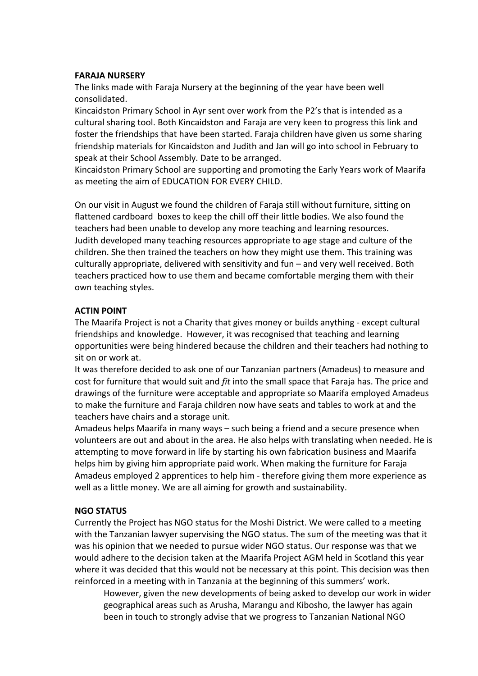#### **FARAJA NURSERY**

The links made with Faraja Nursery at the beginning of the year have been well consolidated.

Kincaidston Primary School in Ayr sent over work from the P2's that is intended as a cultural sharing tool. Both Kincaidston and Faraja are very keen to progress this link and foster the friendships that have been started. Faraja children have given us some sharing friendship materials for Kincaidston and Judith and Jan will go into school in February to speak at their School Assembly. Date to be arranged.

Kincaidston Primary School are supporting and promoting the Early Years work of Maarifa as meeting the aim of EDUCATION FOR EVERY CHILD.

On our visit in August we found the children of Faraja still without furniture, sitting on flattened cardboard boxes to keep the chill off their little bodies. We also found the teachers had been unable to develop any more teaching and learning resources. Judith developed many teaching resources appropriate to age stage and culture of the children. She then trained the teachers on how they might use them. This training was culturally appropriate, delivered with sensitivity and fun – and very well received. Both teachers practiced how to use them and became comfortable merging them with their own teaching styles.

#### **ACTIN POINT**

The Maarifa Project is not a Charity that gives money or builds anything - except cultural friendships and knowledge. However, it was recognised that teaching and learning opportunities were being hindered because the children and their teachers had nothing to sit on or work at.

It was therefore decided to ask one of our Tanzanian partners (Amadeus) to measure and cost for furniture that would suit and *fit* into the small space that Faraja has. The price and drawings of the furniture were acceptable and appropriate so Maarifa employed Amadeus to make the furniture and Faraja children now have seats and tables to work at and the teachers have chairs and a storage unit.

Amadeus helps Maarifa in many ways – such being a friend and a secure presence when volunteers are out and about in the area. He also helps with translating when needed. He is attempting to move forward in life by starting his own fabrication business and Maarifa helps him by giving him appropriate paid work. When making the furniture for Faraja Amadeus employed 2 apprentices to help him - therefore giving them more experience as well as a little money. We are all aiming for growth and sustainability.

#### **NGO STATUS**

Currently the Project has NGO status for the Moshi District. We were called to a meeting with the Tanzanian lawyer supervising the NGO status. The sum of the meeting was that it was his opinion that we needed to pursue wider NGO status. Our response was that we would adhere to the decision taken at the Maarifa Project AGM held in Scotland this year where it was decided that this would not be necessary at this point. This decision was then reinforced in a meeting with in Tanzania at the beginning of this summers' work.

However, given the new developments of being asked to develop our work in wider geographical areas such as Arusha, Marangu and Kibosho, the lawyer has again been in touch to strongly advise that we progress to Tanzanian National NGO